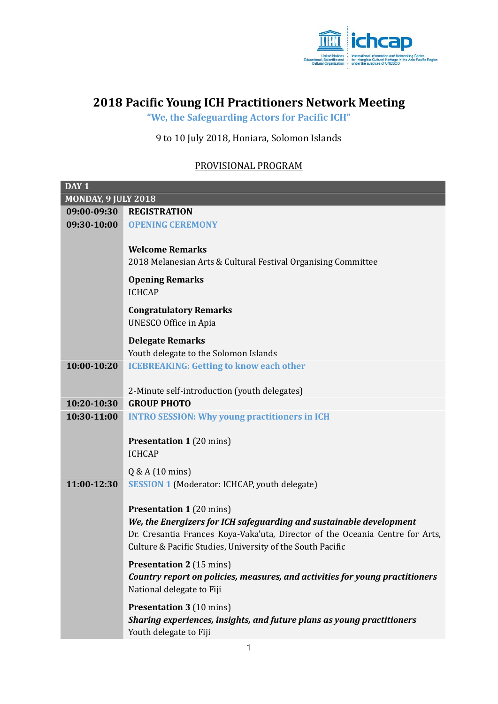

## **2018 Pacific Young ICH Practitioners Network Meeting**

**"We, the Safeguarding Actors for Pacific ICH"**

## 9 to 10 July 2018, Honiara, Solomon Islands

## PROVISIONAL PROGRAM

| DAY <sub>1</sub>    |                                                                                                                                                      |  |
|---------------------|------------------------------------------------------------------------------------------------------------------------------------------------------|--|
| MONDAY, 9 JULY 2018 |                                                                                                                                                      |  |
| 09:00-09:30         | <b>REGISTRATION</b>                                                                                                                                  |  |
| 09:30-10:00         | <b>OPENING CEREMONY</b>                                                                                                                              |  |
|                     |                                                                                                                                                      |  |
|                     | <b>Welcome Remarks</b>                                                                                                                               |  |
|                     | 2018 Melanesian Arts & Cultural Festival Organising Committee                                                                                        |  |
|                     | <b>Opening Remarks</b>                                                                                                                               |  |
|                     | <b>ICHCAP</b>                                                                                                                                        |  |
|                     | <b>Congratulatory Remarks</b>                                                                                                                        |  |
|                     | <b>UNESCO Office in Apia</b>                                                                                                                         |  |
|                     | <b>Delegate Remarks</b>                                                                                                                              |  |
|                     | Youth delegate to the Solomon Islands                                                                                                                |  |
| 10:00-10:20         | <b>ICEBREAKING: Getting to know each other</b>                                                                                                       |  |
|                     |                                                                                                                                                      |  |
|                     | 2-Minute self-introduction (youth delegates)                                                                                                         |  |
| 10:20-10:30         | <b>GROUP PHOTO</b>                                                                                                                                   |  |
| 10:30-11:00         | <b>INTRO SESSION: Why young practitioners in ICH</b>                                                                                                 |  |
|                     |                                                                                                                                                      |  |
|                     | <b>Presentation 1 (20 mins)</b>                                                                                                                      |  |
|                     | <b>ICHCAP</b>                                                                                                                                        |  |
|                     | $Q & A(10 \text{ mins})$                                                                                                                             |  |
| 11:00-12:30         | <b>SESSION 1 (Moderator: ICHCAP, youth delegate)</b>                                                                                                 |  |
|                     |                                                                                                                                                      |  |
|                     | <b>Presentation 1 (20 mins)</b>                                                                                                                      |  |
|                     | We, the Energizers for ICH safeguarding and sustainable development<br>Dr. Cresantia Frances Koya-Vaka'uta, Director of the Oceania Centre for Arts, |  |
|                     | Culture & Pacific Studies, University of the South Pacific                                                                                           |  |
|                     |                                                                                                                                                      |  |
|                     | <b>Presentation 2</b> (15 mins)                                                                                                                      |  |
|                     | Country report on policies, measures, and activities for young practitioners<br>National delegate to Fiji                                            |  |
|                     |                                                                                                                                                      |  |
|                     | <b>Presentation 3 (10 mins)</b>                                                                                                                      |  |
|                     | Sharing experiences, insights, and future plans as young practitioners                                                                               |  |
|                     | Youth delegate to Fiji                                                                                                                               |  |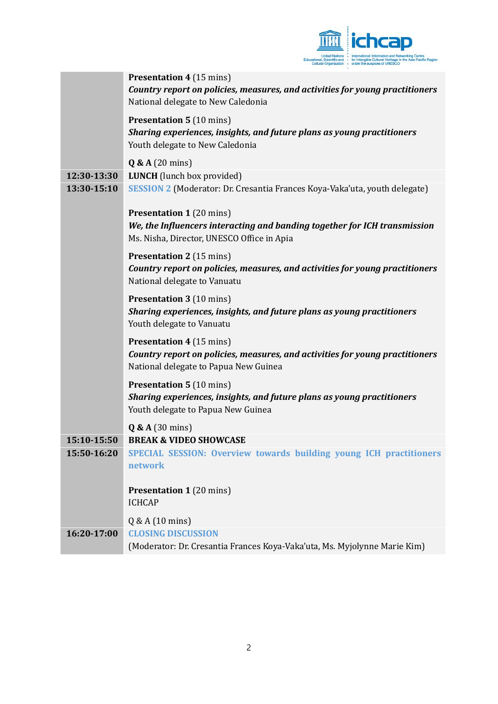

|             | <b>Presentation 4 (15 mins)</b><br>Country report on policies, measures, and activities for young practitioners                                            |
|-------------|------------------------------------------------------------------------------------------------------------------------------------------------------------|
|             | National delegate to New Caledonia                                                                                                                         |
|             | <b>Presentation 5 (10 mins)</b><br>Sharing experiences, insights, and future plans as young practitioners<br>Youth delegate to New Caledonia               |
|             | Q & A (20 mins)                                                                                                                                            |
| 12:30-13:30 | <b>LUNCH</b> (lunch box provided)                                                                                                                          |
| 13:30-15:10 | SESSION 2 (Moderator: Dr. Cresantia Frances Koya-Vaka'uta, youth delegate)                                                                                 |
|             | <b>Presentation 1 (20 mins)</b><br>We, the Influencers interacting and banding together for ICH transmission<br>Ms. Nisha, Director, UNESCO Office in Apia |
|             | <b>Presentation 2</b> (15 mins)<br>Country report on policies, measures, and activities for young practitioners<br>National delegate to Vanuatu            |
|             | <b>Presentation 3 (10 mins)</b><br>Sharing experiences, insights, and future plans as young practitioners<br>Youth delegate to Vanuatu                     |
|             | <b>Presentation 4 (15 mins)</b><br>Country report on policies, measures, and activities for young practitioners<br>National delegate to Papua New Guinea   |
|             | <b>Presentation 5 (10 mins)</b><br>Sharing experiences, insights, and future plans as young practitioners<br>Youth delegate to Papua New Guinea            |
|             | $Q & A(30 \text{ mins})$                                                                                                                                   |
| 15:10-15:50 | <b>BREAK &amp; VIDEO SHOWCASE</b>                                                                                                                          |
| 15:50-16:20 | SPECIAL SESSION: Overview towards building young ICH practitioners<br>network                                                                              |
|             | <b>Presentation 1 (20 mins)</b><br><b>ICHCAP</b>                                                                                                           |
|             | $Q & A(10 \text{ mins})$                                                                                                                                   |
| 16:20-17:00 | <b>CLOSING DISCUSSION</b>                                                                                                                                  |
|             | (Moderator: Dr. Cresantia Frances Koya-Vaka'uta, Ms. Myjolynne Marie Kim)                                                                                  |